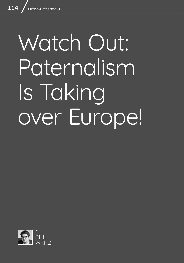# Watch Out: Paternalism Is Taking over Europe!

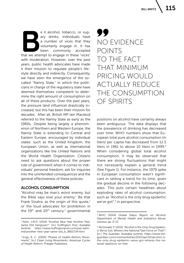**Be it alcohol, tobacco, or sug-**<br>
ary drinks; individuals have<br>
a number of vices that they<br>
voluntarily engage in. It has<br>
been commonly accepted<br>
that we attempt to engage in these "vices" ary drinks; individuals have a number of vices that they voluntarily engage in. It has been commonly accepted with moderation. However, over the past years, public health advocates have made it their mission to regulate people's lifestyle directly and indirectly. Consequently, we have seen the emergence of the socalled "Nanny State," in which the politicians in charge of the regulatory state have deemed themselves competent to determine the right amount of consumption on all of these products. Over the past years, the pressure (and influence) drastically increased, but this has been their mission for decades. After all, British MP Iain Macleod referred to the Nanny State as early as the 1960s. Despite being largely a phenomenon of Northern and Western Europe, the Nanny State is extending to Central and Eastern Europe, encouraged by individual states: such as the United Kingdom, the European Union, as well as international organizations like the United Nations and the World Health Organization. Citizens need to ask questions about the proper role of government when it comes to individuals' personal freedom, ask for inquiries into the unintended consequences and the general effectiveness of these policies.

#### ALCOHOL CONSUMPTION

"Alcohol may be man's worst enemy, but the Bible says love your enemy." Be that Frank Sinatra, as the origin of this quote, $1$ or the loud advocates for prohibition in the  $19<sup>th</sup>$  and  $20<sup>th</sup>$  century,<sup>2</sup> governmental

# 77 NO EVIDENCE POINTS TO THE FACT THAT MINIMUM PRICING WOULD ACTUALLY REDUCE THE CONSUMPTION OF SPIRITS

positions on alcohol have certainly always been ambiguous. The data displays that the prevalence of drinking has decreased over time: WHO numbers show that European total pure alcohol consumption (in liters) per capita has decreased from 12.5 liters in 1961 to above 10 liters in 1999. $3$ When considering global total alcohol consumption, it may be observed that there are strong fluctuations that might not necessarily explain a general trend (See Figure 1). For instance, the 1979 spike in European consumption wasn't significant in setting a trend for its time, given the gradual decline in the following decades. This puts certain headlines about exploding rates of alcohol consumption, such as "Alcohol is the only drug epidemic we've got",<sup>4</sup> in perspective.

<sup>&</sup>lt;sup>1</sup> Kahn, J.M.D. (2016) "Another New Year Another Past, Same Old Hangover?", [in:] *Huffington Post.* Available [online]: https://www.huffingtonpost.com/joel-kahnmd/another-new-year-same-old\_b\_8801734.html

<sup>2</sup> Engs, R. C. (2000) "Phases of Health-Reform Movements", [in:] *Clean Living Movements: American Cycles of Health Reform.* Praeger Publishers.

<sup>3</sup> WHO (2004) *Global Status Report on Alcohol, Department of Mental Health and Substance Abuse.* Geneva, pp. 9-12.

<sup>4</sup> McDonald, P. (2015) "Alcohol Is the Only Drug Epidemic We've Got. Where's the National Task Force on That?", [in:] *The Guardian*. Available [online]: https://www.theguardian.com/commentisfree/2015/apr/16/alcohol-isthe-only-drug-epidemic-weve-got-wheres-the-national-taskforce-on-that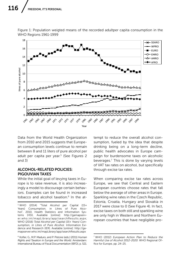

Figure 1: Population weigted means of the recorded adultper capita consumption in the WHO Regions 1961-1999

Data from the World Health Organization from 2010 and 2015 suggests that European consumption levels continue to remain between 8 and 11 liters of pure alcohol per adult per capita per year.<sup>5</sup> (See Figures 2 and 3)

# ALCOHOL-RELATED POLICIES: PIGOUVIAN TAXES

While the initial goal of levying taxes in Europe is to raise revenue, it is also increasingly a model to discourage certain behaviors. Examples can be found in increased tobacco and alcohol taxation.<sup>6</sup> In the at-

<sup>6</sup> Kofler, G., M.P. Maduro, and P. Pistone (eds.) (2011) *Human Rights and Taxation in Europe and the World.* Amsterdam: International Bureau of Fiscal Documentation (IBFD), p. 521.

tempt to reduce the overall alcohol consumption, fueled by the idea that despite drinking being on a long-term decline, public health advocates in Europe campaign for burdensome taxes on alcoholic beverages.7 This is done by varying levels of VAT tax rates on alcohol, but specifically through excise tax rates.

When comparing excise tax rates across Europe, we see that Central and Eastern European countries choose rates that fall below the average of other areas in Europe. Sparkling wine rates in the Czech Republic, Estonia, Croatia, Hungary and Slovakia in 2017 were close to 0 (See Figure 4). In fact, excise taxes on both still and sparkling wine are only high in Western and Northern European countries that have negligible pro-

<sup>5</sup> WHO (2014) "Total Alcohol per Capital (15+ Years) Consumption, in Litres of Pure Alcohol", 2010, Health Statistics and Information Systems (HSI). Available [online]: http://gamapserver.who.int/mapLibrary/app/searchResults.aspx; WHO (2016) *Total Alcohol per Capital (15+ Years) Consumption, in Litres of Pure Alcohol.* Information Evidence and Research (IER). Available [online]: http://gamapserver.who.int/mapLibrary/app/searchResults.aspx

<sup>7</sup> WHO (2012) *European Action Plan to Reduce the Harmful Use of Alcohol 2012-2020.* WHO Regional Office for Europe, pp. 24-25.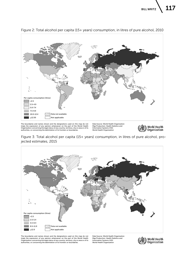

Figure 2: Total alcohol per capita (15+ years) consumption, in litres of pure alcohol, 2010

imply the expression of any opinion whatsoever on the part of the World Health<br>Organization concerning the legal status of any country, territory, city or area or of its<br>authorities, or concerning the delimitation of its f

Map Production: Health Statistics and Information Systems (HSI) World Health Organization



Figure 3: Total alcohol per capita (15+ years) consumption, in litres of pure alcohol, projected estimates, 2015



The boundaries and names shown and the designations used on this map do not<br>imply the expression of any opinion whatsoever on the part of the World Health<br>Organization concerning the legal status of any country, territory, authorities, or concerning the delimitation of its frontiers or boundaries.

Data Source: World Health Organization Map Production: Health Statistics and Information Systems (HSI) World Health Organization

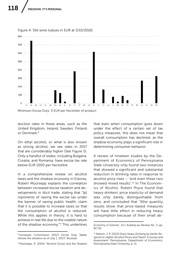

#### Figure 4: Still wine (values in EUR at 3/10/2016)

Minimum Excise Duty: 0 EUR per hectoliter of product

duction rates in these areas, such as the United Kingdom, Ireland, Sweden, Finland or Denmark<sup>8</sup>

On ethyl alcohol, or what is also known as strong alcohol, we see rates in 2017 that are considerably higher (See Figure 5). Only a handful of states, including Bulgaria, Croatia, and Romania, have excise tax rate below EUR 1000 per hectolitre.

In a comprehensive review on alcohol taxes and the shadow economy in Estonia, Robert Müürsepp explains the correlation between increased excise taxation and developments in illicit trade, stating that "[p] roponents of raising the excise tax under the banner of saving public health, claim that it is possible to increase taxes so that the consumption of alcohol is reduced. While this applies in theory, it is hard to achieve in real life due to the volatile nature of the shadow economy."9 This underlines

that even when consumption goes down under the effect of a certain set of tax policy measures, this does not mean that overall consumption has declined, as the shadow economy plays a significant role in determining consumer behavior.

A review of nineteen studies by the Department of Economics of Pennsylvania State University only found two instances that showed a significant and substantial reduction in drinking rates in response to alcohol price rises – "and even these two showed mixed results<sup>" 10</sup> In The Economics of Alcohol, Robert Pryce found that heavy drinkers' price elasticity of demand was only barely distinguishable from zero, and concluded that "[t]he quantity results show that price-based measures will have little effect in reducing heavy consumption because of their small ab-

<sup>8</sup> European Commission (2017) *Excise Duty Tables* (shows the situation as of July 1, 2017). Brussels.

<sup>9</sup> Müürsepp, R. (2015) "Alcohol Excise and the Shadow

Economy in Estonia", [in:] *4Liberty.eu Review* No. 3, pp. 82-92.

<sup>10</sup> Nelson, J. P. (2013) *Does Heavy Drinking by Adults Respond to Higher Alcohol Prices and Taxes? A Survey and Assessment.* Pennsylvania: Department of Economics, Pennsylvania State University, p. 11.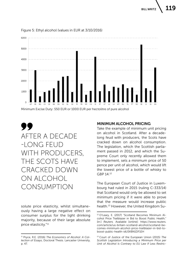

Figure 5: Ethyl alcohol (values in EUR at 3/10/2016)

AFTER A DECADE -LONG FEUD WITH PRODUCERS, THE SCOTS HAVE CRACKED DOWN ON ALCOHOL CONSUMPTION

solute price elasticity, whilst simultaneously having a large negative effect on consumer surplus for the light drinking majority, because of their large absolute price elasticity."11

#### MINIMUM ALCOHOL PRICING

Take the example of minimum unit pricing on alcohol in Scotland. After a decadelong feud with producers, the Scots have cracked down on alcohol consumption. The legislation, which the Scottish parliament passed in 2012, and which the Supreme Court only recently allowed them to implement, sets a minimum price of 50 pence per unit of alcohol, which would lift the lowest price of a bottle of whisky to GBP 14.12

The European Court of Justice in Luxembourg had ruled in 2015 (ruling C-333/14) that Scotland would only be allowed to set minimum pricing if it were able to prove that the measure would increase public health.13 However, the United Kingdom Su-

<sup>11</sup> Pryce, R.E. (2016) *The Economics of Alcohol: A Collection of Essays*, Doctoral Thesis. Lancaster University, p. 47.

<sup>12</sup> O'Leary, E. (2017) "Scotland Becomes Minimum Alcohol Price Trailblazer in Bid to Boost Public Health," [in:] *Reuters.* Available [online]: https://www.reuters. com/article/us-britain-scotland-alcohol/scotland-becomes-minimum-alcohol-price-trailblazer-in-bid-toboost-public-health-idUSKBN1DF1EH

<sup>13</sup> Court of Justice of the European Union (2015) *The Scottish Legislation Introducing a Minimum Price per Unit of Alcohol Is Contrary to EU Law If Less Restric-*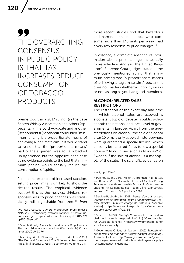# 99 THE OVERARCHING **CONSENSUS** IN PUBLIC POLICY IS THAT TAX INCREASES REDUCE CONSUMPTION OF TOBACCO PRODUCTS

preme Court in a 2017 ruling (in the case Scotch Whisky Association and others (Appellants) v The Lord Advocate and another (Respondents) (Scotland)) concluded "minimum pricing is a proportionate means of achieving a legitimate aim."14 It would stand to reason that the "proportionate means" part of the argument was actually backed up by science, but the opposite is the case as no evidence points to the fact that minimum pricing would actually reduce the consumption of spirits.

Just as the example of increased taxation, setting price limits is unlikely to show the desired results. The empirical evidence support this as the heaviest drinkers' responsiveness to price changes was statistically indistinguishable from zero.<sup>15</sup> Even

more recent studies find that hazardous and harmful drinkers (people who consume more than 17.5 units per week) had a very low response to price changes.<sup>16</sup>

In essence, a complete absence of information about price changes is actually more effective. And yet, the United Kingdom's Supreme Court judges stated in the previously mentioned ruling that minimum pricing was "a proportionate means of achieving a legitimate aim," because it does not matter whether your policy works or not, as long as you had good intentions.

## ALCOHOL-RELATED SALES **RESTRICTIONS**

The restriction of the exact day and time in which alcohol sales are allowed is a constant topic of debate in public policy at both the national and local level of governments in Europe. Apart from the agerestrictions on alcohol, the sale of alcohol after 10 p.m. is only allowed if storeowners were guaranteed a special license, which can only be acquired if they follow a special course.<sup>17</sup> In countries such as Norway<sup>18</sup> or Sweden,<sup>19</sup> the sale of alcohol is a monopoly of the state. The scientific evidence on

*tive Tax Measures Can Be Introduced,* Press release N°155/15. Luxembourg. Available [online]: https://curia. europa.eu/jcms/upload/docs/application/pdf/2015-12/ cp150155en.pdf

<sup>14</sup> Scotch Whisky Association and others (Appellants) v The Lord Advocate and another (Respondents) (Scotland) (2017) UKSC 76.

<sup>15</sup> Manning, W., L. Blumberg, and L.H. Moulton (1995) "The Demand for Alcohol: The Differential Response to Price," [in:] *Journal of Health Economics*, Volume 14, Is-

sue 2, pp. 123-48.

<sup>16</sup> Purshouse, R.C., P.S. Meier, A. Brennan, K.B. Taylor, and R. Rafia (2010) "Estimated Effect of Alcohol Pricing Policies on Health and Health Economic Outcomes in England: An Epidemiological Model", [in:] *The Lancet,* Volume 375, Issue 9723, pp. 1355-1364.

<sup>17</sup> Service-Public-Pro.fr (2018) *Vente d'alcool la nuit, Direction de l'information légale et administrative (Premier ministre).* Ministre chargé de l'intérieur. Available [online]: https://www.service-public.fr/professionnelsentreprises/vosdroits/F22386

 $18$  Strand, S. (2018) "Today's Vinmonpolet – a modern chain with a social responsibility," [in:] *Vinmonopolet. no.* Available [online]: https://www.vinmonopolet.no/ social-responsibility

<sup>19</sup> Government Offices of Sweden (2015) *Swedish Alcohol Retailing Monopoly (Systembolaget Aktiebolag).*  Available [online]: http://www.government.se/government-agencies/swedish-alcohol-retailing-monopoly- -systembolaget-aktiebolag/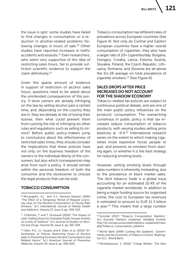the issue is split: some studies have failed to find changes in consumption or a reduction in alcohol-related problems following changes in hours of sale.<sup>20</sup> Other studies have reported increases in traffic accidents and assaults.<sup>21</sup> Even researchers, who seem very supportive of the idea of restricting sales hours, fail to provide sufficient scientific evidence to support the claim definitively.22

Given this sparse amount of evidence in support of restriction of alcohol sales hours, questions need to be asked about the unintended consequences of this policy. If store owners are already infringing on the law by selling alcohol past a certain time, and, depending on the country they are in, they are already at risk of losing their license, then what could prevent them from running the risk of infringing on other rules and regulations such as selling to minors? Before public policy-makers jump to conclusions about the effectiveness of restricted sales times, they should consider the implications that these policies have not only on the business freedom of the owners or the individual liberty of the consumers, but also which consequences may arise from such a policy. It should remain within the personal freedom of both the consumer and the storeowner to choose the legal products that can be sold.

# TOBACCO CONSUMPTION

Tobacco consumption has different rates of prevalence across European countries (See Figure 4). Not only do Central and Eastern European countries have a higher overall consumption of cigarettes, they also have a larger rate of 20> cigarettes/day. Bulgaria, Hungary, Croatia, Latvia, Estonia, Austria, Slovakia, Poland, the Czech Republic, Lithuania, Romania, and Slovenia are all above the EU-28 average on total prevalence of cigarette smokers.23 [See Figure 6]

# SALES DROPS AFTER PRICE INCREASES DO NOT ACCOUNT FOR THE SHADOW ECONOMY

Tobacco-related tax policies are subject to continuous political debate, and are one of the main public policy influences on the products' consumption. The overarching consensus in public policy is that tax increases reduce consumption of tobacco products, with varying studies setting price elasticity at -0.4.<sup>24</sup> International research varies on the extent to which making cigarettes more expensive forces people to quit, and prevents ex-smokers from starting again, or whether it is the best strategy for reducing smoking levels.

However, setting smoking levels through sales numbers is inherently misleading, due to the prevalence of black market sales. The illicit tobacco trade is a global issue accounting for an estimated 10.4% of the cigarette market worldwide. In addition to being a major funding source for organized crime, the cost to European tax revenues is estimated to amount to EUR 11.3 billion a year.<sup>25</sup> This means that a large number

<sup>20</sup> McLaughlin, K.L. and A.J. Harrison-Stewart (1992) "The Effect of a Temporary Period of Relaxed Licensing Laws on the Alcohol Consumption of Young Male Drinkers," [in:] *International Journal of Mental Health and Addiction,* Volume 27, Issue 4, pp. 409-423.

<sup>21</sup> Chikritzhs, T. and T. Stockwell (2002) "The Impact of Later Trading Hours for Australian Public Houses (hotels) on Levels of Violence," [in:] *Journal of Studies on Alcohol and Drugs,* Volume 65, Issue 5, pp. 591-599.

<sup>22</sup> Hahn, R.A., J.L. Kuzara, and R. Elder, et al. (2010) "Effectiveness of Policies Restricting Hours of Alcohol Sales in Preventing Excessive Alcohol Consumption and Related Harms," [in:] *American Journal of Preventive Medicine,* Volume 39, Issue 6, pp. 590-604.

<sup>&</sup>lt;sup>23</sup> Eurostat (2017) "Tobacco Consumption Statistics," [in:] *Eurostat Statistics Explained.* Available [online]: http://ec.europa.eu/eurostat/statistics-explained/index. php/Tobacco\_consumption\_statistics

<sup>24</sup> World Bank (1999) *Curbing the Epidemic. Governments and the Economic of Tobacco Control.* Washington D.C.: World Bank.

<sup>25</sup> Michalopoulos, S. (2016) "'Cheap Whites': The New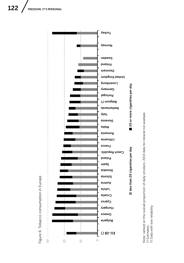

Note: ranked on the overall proportion of daily smokers. 2014 data for Ireland not avaibale.<br>(<sup>1</sup>) Estimates.<br>(<sup>2</sup>) Data with low reliability. Note: ranked on the overall proportion of daily smokers. 2014 data for Ireland not avaibale. (2) Data with low reliability.(1) Estimates.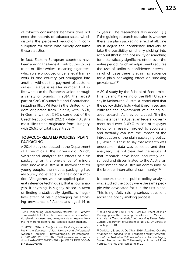of tobacco consumers' behavior does not enter the records of tobacco sales, which distorts the perceived reduction in consumption for those who merely consume these statistics.

In fact, Eastern European countries have been among the largest contributors to this trend of 'illicit whites', meaning cigarettes, which were produced under a legal framework in one country, yet smuggled into another without the payment of customs duties. Belarus is retailer number 1 of illicit whites to the European Union, through a variety of brands. In 2014, the largest part of C&C (Counterfeit and Contraband, including Illicit Whites) in the United Kingdom originated from Belarus, with 15.7%; in Germany, most C&C's came out of the Czech Republic with 20.1%, while in Austria most illicit trade originated from Hungary, with 26.6% of total illegal trade.<sup>26</sup>

#### TOBACCO-RELATED POLICIES: PLAIN PACKAGING

A 2014 study conducted at the Department of Economics at the University of Zurich, Switzerland, analyzed the effects of plain packaging on the prevalence of minors who smoke in Australia. It showed that for young people, the neutral packaging had absolutely no effects on their consumption. "Altogether, we have applied quite liberal inference techniques, that is, our analysis, if anything, is slightly biased in favor of finding a statistically significant (negative) effect of plain packaging on smoking prevalence of Australians aged 14 to 17 years". The researchers also added: "[…] if the guiding research question is whether there is a plain packaging effect at all, one must adjust the confidence intervals to take the possibility of 'cherry picking' into account (that is, the possibility of searching for a statistically significant effect over the entire period). Such an adjustment requires the use of uniform confidence intervals, in which case there is again no evidence for a plain packaging effect on smoking prevalence."27

A 2016 study by the School of Economics, Finance and Marketing of the RMIT University in Melbourne, Australia, concluded that the policy didn't hold what it promised and criticized the government of funding biased research. As they concluded, "[i]n the first instance the Australian federal government paid over AUD 3 million of taxpayer funds for a research project to accurately and factually evaluate the impact of the introduction of the plain packaging policy. (…) While it is true to say that research was undertaken, data was collected and then analyzed, it is not clear that the results of that research have been accurately described and disseminated to the Australian government, the Australian community, or the broader international community."28

It appears that the public policy analysts who studied the policy were the same people who advocated for it in the first place. This is rightfully raising serious questions about the policy-making process.

Trend Dominating Tobacco Black Markets," [in:] *Euractiv. com.* Available [online]: https://www.euractiv.com/section/health-consumers/news/mondaycheap-whitesthe-new-trend-dominating-tobacco-black-markets/

<sup>26</sup> KPMG (2014) *A Study of the Illicit Cigarette Market in the European Union, Norway and Switzerland.*  Available [online]: http://kpmg.co.uk/creategraphics/2015/06\_2015/CRT026736/files/assets/common/ downloads/CRT026736%20Project%20SUN%20COM-BINED%20v10.pdf

<sup>&</sup>lt;sup>27</sup> Kaul and Wolf (2014) "The (Possible) Effect of Plain Packaging on the Smoking Prevalence of Minors in Australia: A Trend Analysis," [in:] *Working Paper Series.*  Zurich: Department of Economics No. 149, University of Zurich, pp. 9-10.

<sup>28</sup> Davidson, S. and A. De Silva (2016) *Stubbing Out the Evidence of Tobacco Plain Packaging Efficacy: An Analysis of the Australian National Tobacco Plain Packaging Survey*. Melbourne: RMIT University – School of Economics, Finance and Marketing, p. 11.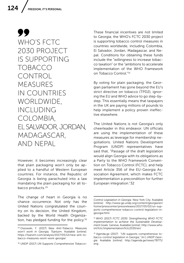99 WHO'S FCTC 2030 PROJECT IS SUPPORTING TOBACCO CONTROL MEASURES IN COUNTRIES WORLDWIDE, INCLUDING COLOMBIA, EL SALVADOR, JORDAN, MADAGASCAR, AND NEPAL

However, it becomes increasingly clear that plain packaging won't only be applied to a handful of Western European countries. For instance, the Republic of Georgia is being parachuted into a law mandating the plain packaging for all tobacco products.<sup>29</sup>

The change of heart in Georgia is no chance occurrence. Not only has the United Nations congratulated the country on its decision, the United Kingdom, backed by the World Health Organization, has pledged funding for the policy. $30$ 

These financial incentives are not limited to Georgia; the WHO's FCTC 2030 project is supporting tobacco control measures in countries worldwide, including Colombia, El Salvador, Jordan, Madagascar, and Nepal. Conditions for obtaining these funds include the "willingness to increase tobacco taxation" or the "ambitions to accelerate implementation of the WHO Framework on Tobacco Control."31

By voting for plain packaging, the Georgian parliament has gone beyond the EU's strict directive on tobacco (TPD2), ignoring the EU and WHO advice to go step-bystep. This essentially means that taxpayers in the UK are paying millions of pounds to help implement a policy proven ineffective elsewhere.

The United Nations is not Georgia's only cheerleader in this endeavor. UN officials are using the implementation of these measures as leverage for membership negotiations. United Nations Development Program (UNDP) representatives have said that, "Passage of the draft legislation would align Georgia with its obligations as a Party to the WHO Framework Convention on Tobacco Control (FCTC), and help meet Article 356 of the EU-Georgia Association Agreement, which makes FCTC implementation a precondition for further European integration."32

<sup>29</sup> Ossowski, Y. (2017) *New Anti-Tobacco Measures won't work in Georgia, Tsariszm*. Available [online]: https://tsarizm.com/analysis/2017/05/12/new-anti-tobacco-measures-wont-work-georgia/

<sup>30</sup> UNDP (2017) *UN Supports Comprehensive Tobacco-*

*Control Legislation in Georgia.* New York City. Available [online]: http://www.ge.undp.org/content/georgia/en/ home/presscenter/pressreleases/2017/05/02/un-supports-comprehensive-tobacco-control-legislation-ingeorgia.html

<sup>31</sup> WHO (2017) *FCTC 2030. Strengthening WHO FCTC implementation to achieve the Sustainable Development Goals.* Geneva. Available [onine]: http://www.who. int/fctc/implementation/fctc2030/en/

<sup>32</sup> Agenda.ge (2017) "UN supports comprehensive tobacco-control legislation in Georgia," [in:] *UNDP Georgia*. Available [online]: http://agenda.ge/news/78771/ eng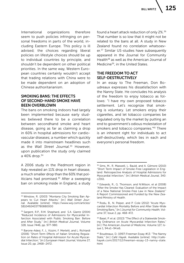International organizations therefore seem to push policies infringing on personal freedoms in parts of the world, including Eastern Europe. This policy is ill advised; the choices regarding liberal policies on lifestyle choices should be up to individual countries by principle, and shouldn't be dependent on other political priorities. In the same way, Western European countries certainly wouldn't accept that trading relations with China were to be made dependent on an adoption of Chinese authoritarianism.

# SMOKING BANS: THE EFFECTS OF SECOND-HAND SMOKE HAVE BEEN OVERBLOWN

The bans on smoking indoors had largely been implemented because early studies believed there to be a correlation between secondhand smoke and heart disease, going as far as claiming a drop in 60% in hospital admissions for cardiovascular diseases; a number which quickly made it into mainstream headlines such as the *Wall Street Journal*. 33 However, upon publication the study only claimed a 40% drop.34

A 2006 study in the Piedmont region in Italy revealed an 11% drop in heart disease, a much smaller drop than the 60% that politicians had promised.<sup>35</sup> After a sweeping ban on smoking inside in England, a study found a heart attack reduction of only 2%.36 That number is so low that it might not be related to the bans at all. A study in New Zealand found no correlation whatsoever.<sup>37</sup> Similar US-studies have subsequently appeared in the Journal for Community Health<sup>38</sup> as well as the American Journal of Medicine39, in the United States.

# THE FREEDOM TO ACT SELF-DESTRUCTIVELY

In an essay to The Freeman, Don Boudreaux expresses his dissatisfaction with the Nanny State. He concludes his analysis of the freedom to enjoy tobacco as follows: "I have my own proposed tobacco settlement. Let's recognize that smoking is voluntary. Let smokers enjoy their cigarettes, and let tobacco companies be regulated only by the market by putting an end to government's odious molestation of smokers and tobacco companies."40 There is an inherent right for individuals to act self-destructively, which lies in each and everyone's personal freedom.

<sup>33</sup> Winslow, R. (2003) "Montana City Smoking Ban Appears to Cut Heart Attacks," [in:] *Wall Street Journal.* Available [online]: https://www.wsj.com/articles/ SB104924037780880000

<sup>34</sup> Sargent, R.P., R.M. Shephard, and S.A. Glantz (2004) "Reduced Incidence of Admissions for Myocardial Infarction Associated with Public Smoking Ban: Before and After Study," [in:] *British Medical Journal*, Volume 328, Issue 7446, pp. 977-980.

<sup>35</sup> Barone-Adesi, F., L. Vizzini, F. Merletti, and L. Richiardi (2006) "Short-Term Effects of Italian Smoking Regulation on Rates of Hospital Admission for Acute Myocardial Infarction," [in:] *European Heart Journal*, Volume 27, Issue 20, pp. 2468–2472.

<sup>36</sup> Sims, M., R. Maxwell, L. Bauld, and A. Gilmore (2010) "Short Term Impact of Smoke-Free Legislation in England: Retrospective Analysis of Hospital Admissions for Myocardial Infarction," [in:] *British Medical Jounal*, 340: c2161.

<sup>37</sup> Edwards, R., G. Thomson, and N.Wilson, et al (2008) "After the Smoke Has Cleared: Evaluation of the Impact of a New National Smoke-Free Law in New Zealand." A Report Commissioned and Funded by the New Zealand Ministry of Health.

<sup>38</sup> Rodu, B., N. Peiper, and P. Cole (2012) "Acute Myocardial Infarction Mortality Before and After State-Wide Smoking Bans," [in:] *Journal for Community Health*, Volume 37, Issue 2, pp. 468-472.

<sup>39</sup> Basel, P. et al. (2013) "The Effect of a Statewide Smoking Ordinance on Acute Myocardial Infarction Rates," [in:] *The American Journal of Medicine*, Volume 127, Issue 1, 94.e1–94.e6.

<sup>40</sup> Boudreaux, D. (1997) Freeman Essay #13: "The Nanny State," [in:] *Café Hayek.* Available [online]: http://cafehayek.com/2017/12/freeman-essay-13-nanny-state. html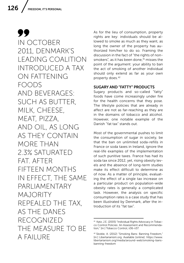99 IN OCTOBER 2011, DENMARK'S LEADING COALITION INTRODUCED A TAX ON FATTENING FOODS AND BEVERAGES: SUCH AS BUTTER, MILK, CHEESE, MEAT, PIZZA, AND OIL, AS LONG AS THEY CONTAIN MORE THAN 2.3% SATURATED FAT. AFTER FIFTEEN MONTHS IN EFFECT, THE SAME PARLIAMENTARY MAJORITY REPEALED THE TAX, AS THE DANES RECOGNIZED THE MEASURE TO BE A FAILURE

As for the lieu of consumption, property rights are key: individuals should be allowed to smoke as much as they want, as long the owner of the property has authorized him/her to do so. Framing the discussion in the fact of "the rights of nonsmokers", as it has been done,<sup>41</sup> misses the point of the argument: your ability to ban the act of smoking of another individual should only extend as far as your own property does.<sup>42</sup>

#### SUGARY AND "FATTY" PRODUCTS

Sugary products and so-called "fatty" foods have come increasingly under fire for the health concerns that they pose. The lifestyle policies that are already in affect are not as far-reaching as they are in the domains of tobacco and alcohol. However, one notable example of the Danish "fat tax" stands out.

Most of the governmental pushes to limit the consumption of sugar in society, be that the ban on unlimited soda-refills in France or soda taxes in Ireland, ignore the real-life examples of the implementation of such punitive taxes. France has had its soda tax since 2012, yet, rising obesity levels and the absence of long-term studies make its effect difficult to determine as of now. As a matter of principle, evaluating the effect of a single tax increase on a particular product on population-wide obesity rates is generally a complicated task. However, the analysis on specific consumption rates is a case study that has been illustrated by Denmark, after the introduction of its "fat tax".

<sup>41</sup> Katz, J.E. (2005) "Individual Rights Advocacy in Tobacco Control Policies: An Assessment and Recommendation," [in:] Tobacco Control, ii36-ii37.

<sup>42</sup> Skoble, A. (2012) "Smoking Bans: Banning Freedom," [in:] Libertarianism.org. Available [online]: https://www. libertarianism.org/media/around-web/smoking-bansbanning-freedom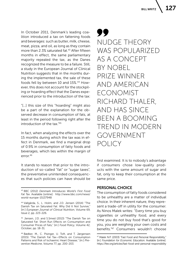In October 2011, Denmark's leading coalition introduced a tax on fattening foods and beverages: such as butter, milk, cheese, meat, pizza, and oil, as long as they contain more than 2.3% saturated fat.43 After fifteen months in effect, the same parliamentary majority repealed the tax, as the Danes recognized the measure to be a failure. Still, a study in the European Journal of Clinical Nutrition suggests that in the months during the implemented tax, the sale of these foods fell by between 10 and 15%.44 However, this does not account for the stockpiling or hoarding effect that the Danes experienced prior to the introduction of the tax:

"[…] this size of this "hoarding" might also be a part of the explanation for the observed decrease in consumption of fats, at least in the period following right after the introduction of the tax<sup>"45</sup>

In fact, when analyzing the effects over the 15 months during which the tax was in effect in Denmark, we find a marginal drop of 0.9% in consumption of fatty foods and beverages, which lies within the margin of error.46

It stands to reason that prior to the introduction of so-called "fat" or "sugar taxes", the preventative unintended consequences that such policies can have should be 99 NUDGE THEORY WAS POPULARIZED AS A CONCEPT BY NOBEL PRIZE WINNER AND AMERICAN ECONOMIST RICHARD THALER, AND HAS SINCE BEEN A BOOMING TREND IN MODERN GOVERNMENT POLICY

first examined. It is to nobody's advantage if consumers chose low-quality products with the same amount of sugar and fat, only to keep their consumption at the same price.

## PERSONAL CHOICE

The consumption of fatty foods considered to be unhealthy are a matter of individual choice. In their inherent nature, they represent a trade-off in utility for the consumer. As Ninos Malek writes: "Every time you buy cigarettes or unhealthy food, and every time you do not buy food that's good for you, you are weighing your own costs and benefits."47 Consumers wouldn't choose

<sup>43</sup> BBC (2012) *Denmark Introduces World's First Food Fat Tax*. Available [online]: http://www.bbc.com/news/ world-europe-15137948

<sup>44</sup> Vallgårda, S., L. Holm, and J.D. Jensen (2014) "The Danish Tax on Saturated Fat: Why Did It Not Survive," [in:] *European Journal of Clinical Nutrition*, Volume 69, Issue 2, pp. 223-226.

<sup>45</sup> Jensen, J.D. and S.Smed (2013) "The Danish Tax on Saturated Fat: Short Run Effects on Consumption and Consumer Prices of Fats," [in:] *Food Policy*, Volume 42, October, pp. 18-31.

<sup>46</sup> Bødker, M., C. Pisinger, U. Toft, and T. Jørgensen (2015) "The Danish Fat Tax—Effects on Consumption Patterns and Risk of Ischaemic Heart Disease," [in:] *Preventive Medicine*, Volume 77, pp. 200-203.

<sup>47</sup> Malek N.P. (2003) "Fast Food and Personal Responsibility," [in:] *Foundation for Economic Education.* Available [online]: https://fee.org/articles/fast-food-and-personal-responsibility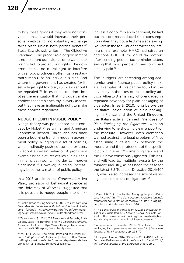to buy these goods if they were not convinced that it would increase their personal well-being, no voluntary exchange takes place unless both parties benefit.<sup>48</sup> Stella Zawistowski writes in The Objective Standard: "The proper role of government is not to count our calories or to watch our weight but to protect our rights. The government has no moral right to interfere with a food producer's offerings, a restaurant's menu, or an individual's diet. And where the government has created for itself a legal right to do so, such laws should be repealed."49 In essence, freedom implies the eventuality that individuals make choices that aren't healthy in every aspect, but they have an inalienable right to make these choices regardless.

#### NUDGE THEORY IN PUBLIC POLICY

Nudge theory was popularized as a concept by Nobel Prize winner and American Economist Richard Thaler, and has since been a booming trend in modern government policy. Nudging is a set of policies, which indirectly push consumers or users to adopt a certain behavior. A prominent example is the pictures of flies put in urinals in men's bathrooms, in order to improve cleanliness.50 However, nudging increasingly becomes a matter of public policy.

In a 2016 article in the *Conversation*, Ivo Vlaev, professor of behavioral science at the University of Warwick, suggested that it is possible to nudge people into drinking less alcohol.<sup>51</sup> In an experiment, he laid out that drinkers reduced their consumption when they got a text message saying: 'You are in the top 10% of heaviest drinkers.' In a similar example, HMRC had raised an additional GBP 210 million of tax revenue after sending people tax reminder letters saying that most people in their town had already paid.<sup>52</sup>

The "nudgers" are spreading among academics and influence public policy makers. Examples of this can be found in the advocacy in the likes of Italian policy advisor Alberto Alemanno, who engaged in repeated advocacy for plain packaging of cigarettes. In early 2010, long before the legislative introduction of plain packaging in France and the United Kingdom, the Italian activist penned *The Case of Plain Packaging for Cigarettes*, with an underlying tone showing clear support for the measure. However, even Alemanno warned against the legal problem of "not establishing a causal link between the measure and the protection of the specific public interest,"53 something France and the UK have consciously ignored. This has, and will lead to, multiple lawsuits by the tobacco industry, as has been the case for the latest EU Tobacco Directive 2014/40/ EU, which also increased the size of warning labels on packs of cigarettes.54

<sup>48</sup> Public Broadcasting Service (2000) *On Freedom and Free Markets (Interview with Milton Friedman).* Available [online]: http://www.pbs.org/wgbh/commandingheights/shared/minitext/int\_miltonfriedman.html

<sup>49</sup> Zawistowski, S. (2014) "Of Freedom and Fat: Why Anti-Obesity Laws Are Immoral," [in:] *The Objective Standard.*  Available [online]: https://www.theobjectivestandard. com/issues/2009-spring/anti-obesity-laws/

<sup>50</sup> Wu, F. H. (2017) "The Nobel Prize and the Urinal Fly," [in:] *Huffington Post.* Available [online]: https://www. huffingtonpost.com/entry/the-nobel-prize-and-theurinal-fly\_us\_59ddaa76e4b07a185aa75f91

<sup>51</sup> Vlaev, I. (2016) "How to Start Nudging People to Drink Less Alcohol," [in:] *The Conversation.* Available [online]: https://theconversation.com/how-to-start-nudgingpeople-to-drink-less-alcohol-57704

<sup>52</sup> The Behavioural Insights Team (2013) *Behavioural Insights Tax Trials Win Civil Service Award.* Available [online]: http://www.behaviouralinsights.co.uk/tax/behavioural-insights-tax-trials-win-civil-service-award/

<sup>53</sup> Alemanno and Bonadio (2010) "The Case of Plain Packaging for Cigarettes – an Overview," [in:] *European Journal of Risk Regulation*, pp. 268-70.

<sup>54</sup> European Union (2014) "Directive 2014/40/EU of the European Parliament and of the Council of 3 April 2014," [in:] *Official Journal of the European Union*, pp. 1.